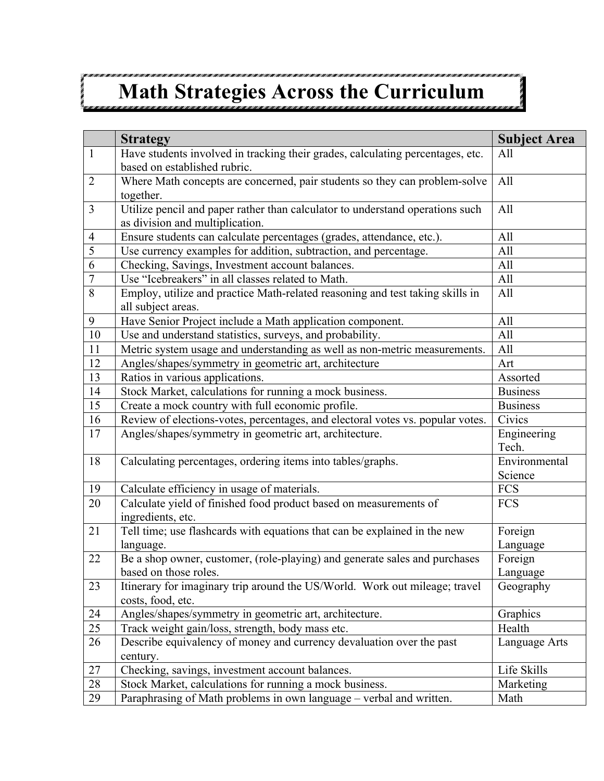## **Math Strategies Across the Curriculum**

|                | <b>Strategy</b>                                                                                                  | <b>Subject Area</b> |
|----------------|------------------------------------------------------------------------------------------------------------------|---------------------|
| $\mathbf{1}$   | Have students involved in tracking their grades, calculating percentages, etc.<br>based on established rubric.   | All                 |
| $\overline{2}$ | Where Math concepts are concerned, pair students so they can problem-solve<br>together.                          | All                 |
| $\overline{3}$ | Utilize pencil and paper rather than calculator to understand operations such<br>as division and multiplication. | All                 |
| $\overline{4}$ | Ensure students can calculate percentages (grades, attendance, etc.).                                            | All                 |
| $\overline{5}$ | Use currency examples for addition, subtraction, and percentage.                                                 | All                 |
| 6              | Checking, Savings, Investment account balances.                                                                  | All                 |
| $\overline{7}$ | Use "Icebreakers" in all classes related to Math.                                                                | All                 |
| 8              | Employ, utilize and practice Math-related reasoning and test taking skills in<br>all subject areas.              | All                 |
| 9              | Have Senior Project include a Math application component.                                                        | All                 |
| $10\,$         | Use and understand statistics, surveys, and probability.                                                         | All                 |
| 11             | Metric system usage and understanding as well as non-metric measurements.                                        | All                 |
| 12             | Angles/shapes/symmetry in geometric art, architecture                                                            | Art                 |
| 13             | Ratios in various applications.                                                                                  | Assorted            |
| 14             | Stock Market, calculations for running a mock business.                                                          | <b>Business</b>     |
| 15             | Create a mock country with full economic profile.                                                                | <b>Business</b>     |
| 16             | Review of elections-votes, percentages, and electoral votes vs. popular votes.                                   | Civics              |
| 17             | Angles/shapes/symmetry in geometric art, architecture.                                                           | Engineering         |
|                |                                                                                                                  | Tech.               |
| 18             | Calculating percentages, ordering items into tables/graphs.                                                      | Environmental       |
|                |                                                                                                                  | Science             |
| 19             | Calculate efficiency in usage of materials.                                                                      | <b>FCS</b>          |
| 20             | Calculate yield of finished food product based on measurements of<br>ingredients, etc.                           | <b>FCS</b>          |
| 21             | Tell time; use flashcards with equations that can be explained in the new                                        | Foreign             |
|                | language.                                                                                                        | Language            |
| 22             | Be a shop owner, customer, (role-playing) and generate sales and purchases                                       | Foreign             |
|                | based on those roles.                                                                                            | Language            |
| 23             | Itinerary for imaginary trip around the US/World. Work out mileage; travel<br>costs, food, etc.                  | Geography           |
| 24             | Angles/shapes/symmetry in geometric art, architecture.                                                           | Graphics            |
| 25             | Track weight gain/loss, strength, body mass etc.                                                                 | Health              |
| 26             | Describe equivalency of money and currency devaluation over the past<br>century.                                 | Language Arts       |
| 27             | Checking, savings, investment account balances.                                                                  | Life Skills         |
| $28\,$         | Stock Market, calculations for running a mock business.                                                          | Marketing           |
| 29             | Paraphrasing of Math problems in own language - verbal and written.                                              | Math                |